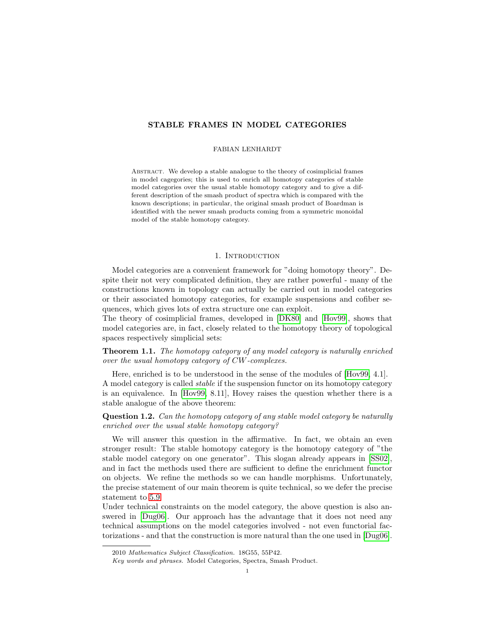# STABLE FRAMES IN MODEL CATEGORIES

### FABIAN LENHARDT

Abstract. We develop a stable analogue to the theory of cosimplicial frames in model cagegories; this is used to enrich all homotopy categories of stable model categories over the usual stable homotopy category and to give a different description of the smash product of spectra which is compared with the known descriptions; in particular, the original smash product of Boardman is identified with the newer smash products coming from a symmetric monoidal model of the stable homotopy category.

### 1. INTRODUCTION

Model categories are a convenient framework for "doing homotopy theory". Despite their not very complicated definition, they are rather powerful - many of the constructions known in topology can actually be carried out in model categories or their associated homotopy categories, for example suspensions and cofiber sequences, which gives lots of extra structure one can exploit.

The theory of cosimplicial frames, developed in [\[DK80\]](#page-17-0) and [\[Hov99\]](#page-17-1), shows that model categories are, in fact, closely related to the homotopy theory of topological spaces respectively simplicial sets:

Theorem 1.1. The homotopy category of any model category is naturally enriched over the usual homotopy category of CW-complexes.

Here, enriched is to be understood in the sense of the modules of [\[Hov99,](#page-17-1) 4.1]. A model category is called stable if the suspension functor on its homotopy category is an equivalence. In [\[Hov99,](#page-17-1) 8.11], Hovey raises the question whether there is a stable analogue of the above theorem:

Question 1.2. Can the homotopy category of any stable model category be naturally enriched over the usual stable homotopy category?

We will answer this question in the affirmative. In fact, we obtain an even stronger result: The stable homotopy category is the homotopy category of "the stable model category on one generator". This slogan already appears in [\[SS02\]](#page-17-2), and in fact the methods used there are sufficient to define the enrichment functor on objects. We refine the methods so we can handle morphisms. Unfortunately, the precise statement of our main theorem is quite technical, so we defer the precise statement to [5.9.](#page-11-0)

Under technical constraints on the model category, the above question is also answered in [\[Dug06\]](#page-17-3). Our approach has the advantage that it does not need any technical assumptions on the model categories involved - not even functorial factorizations - and that the construction is more natural than the one used in [\[Dug06\]](#page-17-3).

<sup>2010</sup> Mathematics Subject Classification. 18G55, 55P42.

Key words and phrases. Model Categories, Spectra, Smash Product.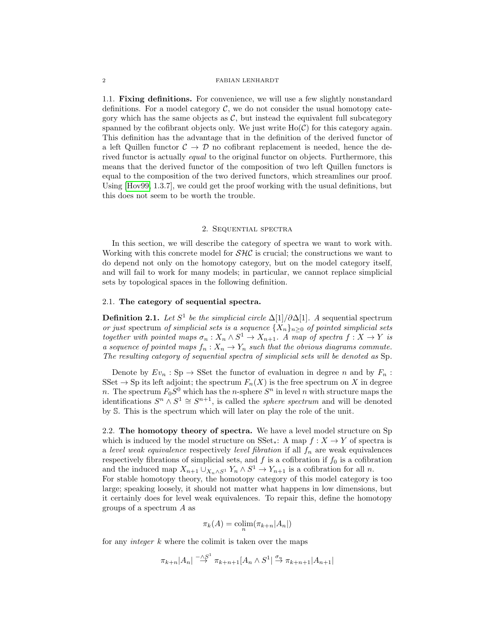1.1. Fixing definitions. For convenience, we will use a few slightly nonstandard definitions. For a model category  $C$ , we do not consider the usual homotopy category which has the same objects as  $C$ , but instead the equivalent full subcategory spanned by the cofibrant objects only. We just write  $Ho(\mathcal{C})$  for this category again. This definition has the advantage that in the definition of the derived functor of a left Quillen functor  $\mathcal{C} \to \mathcal{D}$  no cofibrant replacement is needed, hence the derived functor is actually *equal* to the original functor on objects. Furthermore, this means that the derived functor of the composition of two left Quillen functors is equal to the composition of the two derived functors, which streamlines our proof. Using [\[Hov99,](#page-17-1) 1.3.7], we could get the proof working with the usual definitions, but this does not seem to be worth the trouble.

### 2. Sequential spectra

In this section, we will describe the category of spectra we want to work with. Working with this concrete model for  $\mathcal{SHC}$  is crucial; the constructions we want to do depend not only on the homotopy category, but on the model category itself, and will fail to work for many models; in particular, we cannot replace simplicial sets by topological spaces in the following definition.

# 2.1. The category of sequential spectra.

**Definition 2.1.** Let  $S^1$  be the simplicial circle  $\Delta[1]/\partial \Delta[1]$ . A sequential spectrum or just spectrum of simplicial sets is a sequence  $\{X_n\}_{n\geq 0}$  of pointed simplicial sets together with pointed maps  $\sigma_n: X_n \wedge S^1 \to X_{n+1}$ . A map of spectra  $f: X \to Y$  is a sequence of pointed maps  $f_n: X_n \to Y_n$  such that the obvious diagrams commute. The resulting category of sequential spectra of simplicial sets will be denoted as Sp.

Denote by  $Ev_n : Sp \to SSet$  the functor of evaluation in degree n and by  $F_n$ : SSet  $\rightarrow$  Sp its left adjoint; the spectrum  $F_n(X)$  is the free spectrum on X in degree n. The spectrum  $F_0S^0$  which has the n-sphere  $S^n$  in level n with structure maps the identifications  $S^n \wedge S^1 \cong S^{n+1}$ , is called the *sphere spectrum* and will be denoted by S. This is the spectrum which will later on play the role of the unit.

2.2. The homotopy theory of spectra. We have a level model structure on Sp which is induced by the model structure on  $SSet_{*}: A \text{ map } f : X \to Y$  of spectra is a level weak equivalence respectively level fibration if all  $f_n$  are weak equivalences respectively fibrations of simplicial sets, and  $f$  is a cofibration if  $f_0$  is a cofibration and the induced map  $X_{n+1} \cup_{X_n \wedge S^1} Y_n \wedge S^1 \to Y_{n+1}$  is a cofibration for all n.

For stable homotopy theory, the homotopy category of this model category is too large; speaking loosely, it should not matter what happens in low dimensions, but it certainly does for level weak equivalences. To repair this, define the homotopy groups of a spectrum A as

$$
\pi_k(A) = \operatorname{colim}_{n}(\pi_{k+n}|A_n|)
$$

for any *integer*  $k$  where the colimit is taken over the maps

$$
\pi_{k+n}|A_n| \stackrel{-\wedge S^1}{\to} \pi_{k+n+1}[A_n \wedge S^1] \stackrel{\sigma_n}{\to} \pi_{k+n+1}|A_{n+1}|
$$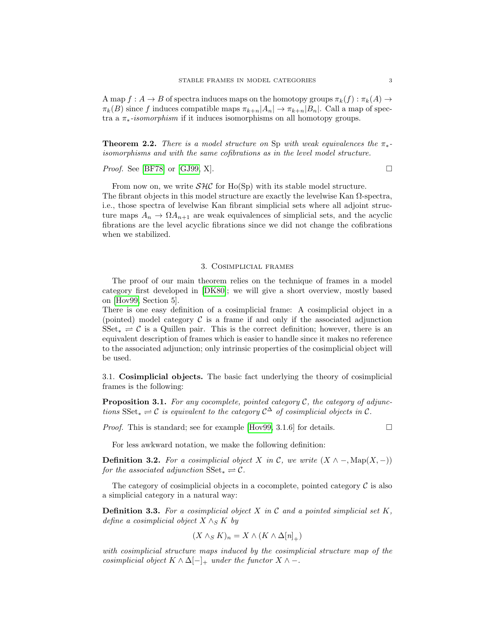A map  $f: A \to B$  of spectra induces maps on the homotopy groups  $\pi_k(f): \pi_k(A) \to$  $\pi_k(B)$  since f induces compatible maps  $\pi_{k+n}|A_n| \to \pi_{k+n}|B_n|$ . Call a map of spectra a  $\pi_*$ -isomorphism if it induces isomorphisms on all homotopy groups.

**Theorem 2.2.** There is a model structure on Sp with weak equivalences the  $\pi_*$ isomorphisms and with the same cofibrations as in the level model structure.

*Proof.* See [\[BF78\]](#page-17-4) or [\[GJ99,](#page-17-5) X].

From now on, we write  $\mathcal{SHC}$  for Ho(Sp) with its stable model structure. The fibrant objects in this model structure are exactly the levelwise Kan  $\Omega$ -spectra, i.e., those spectra of levelwise Kan fibrant simplicial sets where all adjoint structure maps  $A_n \to \Omega A_{n+1}$  are weak equivalences of simplicial sets, and the acyclic fibrations are the level acyclic fibrations since we did not change the cofibrations when we stabilized.

## 3. Cosimplicial frames

The proof of our main theorem relies on the technique of frames in a model category first developed in [\[DK80\]](#page-17-0); we will give a short overview, mostly based on [\[Hov99,](#page-17-1) Section 5].

There is one easy definition of a cosimplicial frame: A cosimplicial object in a (pointed) model category  $\mathcal C$  is a frame if and only if the associated adjunction  $SSet_* \rightleftharpoons C$  is a Quillen pair. This is the correct definition; however, there is an equivalent description of frames which is easier to handle since it makes no reference to the associated adjunction; only intrinsic properties of the cosimplicial object will be used.

3.1. Cosimplicial objects. The basic fact underlying the theory of cosimplicial frames is the following:

**Proposition 3.1.** For any cocomplete, pointed category  $\mathcal{C}$ , the category of adjunctions  $\text{SSet}_* \rightleftharpoons \mathcal{C}$  is equivalent to the category  $\mathcal{C}^{\Delta}$  of cosimplicial objects in  $\mathcal{C}$ .

*Proof.* This is standard; see for example [\[Hov99,](#page-17-1) 3.1.6] for details.  $\Box$ 

For less awkward notation, we make the following definition:

**Definition 3.2.** For a cosimplicial object X in C, we write  $(X \wedge -, \text{Map}(X, -))$ for the associated adjunction  $\text{SSet}_{*} \rightleftharpoons \mathcal{C}.$ 

The category of cosimplicial objects in a cocomplete, pointed category  $\mathcal C$  is also a simplicial category in a natural way:

**Definition 3.3.** For a cosimplicial object X in C and a pointed simplicial set K, define a cosimplicial object  $X \wedge_S K$  by

$$
(X \wedge_S K)_n = X \wedge (K \wedge \Delta[n]_+)
$$

with cosimplicial structure maps induced by the cosimplicial structure map of the cosimplicial object  $K \wedge \Delta[-]_+$  under the functor  $X \wedge -$ .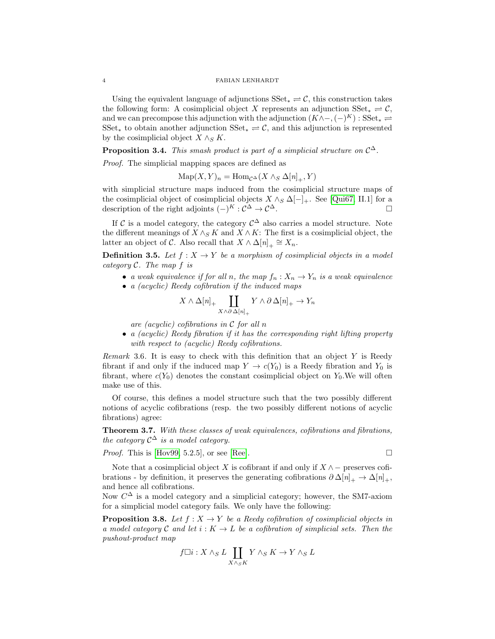Using the equivalent language of adjunctions  $\text{SSet}_{*} \rightleftharpoons \mathcal{C}$ , this construction takes the following form: A cosimplicial object X represents an adjunction  $SSet_* \rightleftharpoons \mathcal{C}$ , and we can precompose this adjunction with the adjunction  $(K \wedge -, (-)^K) : \text{SSet}_* \rightleftharpoons$ SSet<sub>\*</sub> to obtain another adjunction  $\text{SSet}_{*} \rightleftharpoons \mathcal{C}$ , and this adjunction is represented by the cosimplicial object  $X \wedge_S K$ .

**Proposition 3.4.** This smash product is part of a simplicial structure on  $C^{\Delta}$ .

Proof. The simplicial mapping spaces are defined as

 $\text{Map}(X, Y)_n = \text{Hom}_{\mathcal{C}^{\Delta}}(X \wedge_S \Delta[n]_+, Y)$ 

with simplicial structure maps induced from the cosimplicial structure maps of the cosimplicial object of cosimplicial objects  $X \wedge_S \Delta[-]_+$ . See [\[Qui67,](#page-17-6) II.1] for a description of the right adjoints  $(-)^K : \mathcal{C}^{\Delta} \to \mathcal{C}^{\Delta}$ .

If C is a model category, the category  $\mathcal{C}^{\Delta}$  also carries a model structure. Note the different meanings of  $X \wedge_S K$  and  $X \wedge K$ : The first is a cosimplicial object, the latter an object of  $\mathcal{C}$ . Also recall that  $X \wedge \Delta[n]_+ \cong X_n$ .

**Definition 3.5.** Let  $f : X \to Y$  be a morphism of cosimplicial objects in a model category  $C$ . The map  $f$  is

- a weak equivalence if for all n, the map  $f_n: X_n \to Y_n$  is a weak equivalence
- a (acyclic) Reedy cofibration if the induced maps

$$
X \wedge \Delta[n]_+ \coprod_{X \wedge \partial \Delta[n]_+} Y \wedge \partial \Delta[n]_+ \to Y_n
$$

are (acyclic) cofibrations in  $\mathcal C$  for all n

• a (acyclic) Reedy fibration if it has the corresponding right lifting property with respect to *(acyclic)* Reedy cofibrations.

Remark 3.6. It is easy to check with this definition that an object  $Y$  is Reedy fibrant if and only if the induced map  $Y \to c(Y_0)$  is a Reedy fibration and  $Y_0$  is fibrant, where  $c(Y_0)$  denotes the constant cosimplicial object on  $Y_0$ . We will often make use of this.

Of course, this defines a model structure such that the two possibly different notions of acyclic cofibrations (resp. the two possibly different notions of acyclic fibrations) agree:

Theorem 3.7. With these classes of weak equivalences, cofibrations and fibrations, the category  $C^{\Delta}$  is a model category.

*Proof.* This is [\[Hov99,](#page-17-1) 5.2.5], or see [\[Ree\]](#page-17-7).  $\Box$ 

Note that a cosimplicial object X is cofibrant if and only if  $X \wedge -$  preserves cofibrations - by definition, it preserves the generating cofibrations  $\partial \Delta[n]_+ \to \Delta[n]_+,$ and hence all cofibrations.

Now  $C^{\Delta}$  is a model category and a simplicial category; however, the SM7-axiom for a simplicial model category fails. We only have the following:

<span id="page-3-0"></span>**Proposition 3.8.** Let  $f : X \to Y$  be a Reedy cofibration of cosimplicial objects in a model category C and let  $i: K \to L$  be a cofibration of simplicial sets. Then the pushout-product map

$$
f\Box i: X \wedge_S L \coprod_{X \wedge_S K} Y \wedge_S K \to Y \wedge_S L
$$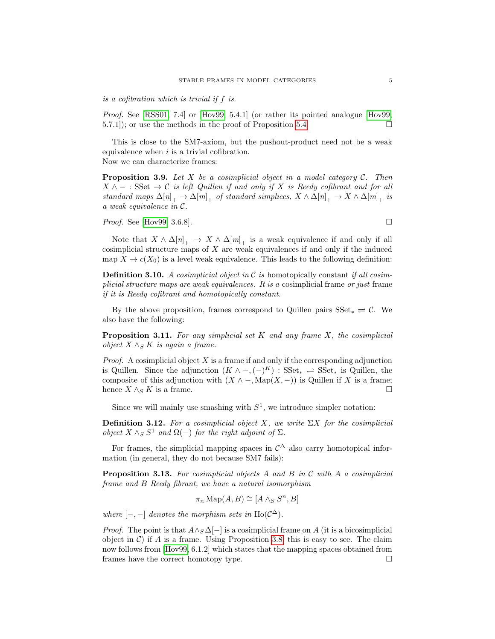is a cofibration which is trivial if f is.

Proof. See [\[RSS01,](#page-17-8) 7.4] or [\[Hov99,](#page-17-1) 5.4.1] (or rather its pointed analogue [Hov99, 5.7.1); or use the methods in the proof of Proposition [5.4.](#page-9-0)

This is close to the SM7-axiom, but the pushout-product need not be a weak equivalence when  $i$  is a trivial cofibration.

Now we can characterize frames:

<span id="page-4-0"></span>**Proposition 3.9.** Let X be a cosimplicial object in a model category  $C$ . Then  $X \wedge -$ : SSet  $\rightarrow C$  is left Quillen if and only if X is Reedy cofibrant and for all standard maps  $\Delta[n]_+ \to \Delta[m]_+$  of standard simplices,  $X \wedge \Delta[n]_+ \to X \wedge \Delta[m]_+$  is a weak equivalence in C.

*Proof.* See [\[Hov99,](#page-17-1) 3.6.8].

Note that  $X \wedge \Delta[n]_+ \to X \wedge \Delta[m]_+$  is a weak equivalence if and only if all cosimplicial structure maps of  $X$  are weak equivalences if and only if the induced map  $X \to c(X_0)$  is a level weak equivalence. This leads to the following definition:

**Definition 3.10.** A cosimplicial object in C is homotopically constant if all cosimplicial structure maps are weak equivalences. It is a cosimplicial frame or just frame if it is Reedy cofibrant and homotopically constant.

By the above proposition, frames correspond to Quillen pairs  $SSet_* \rightleftharpoons \mathcal{C}$ . We also have the following:

**Proposition 3.11.** For any simplicial set K and any frame X, the cosimplicial object  $X \wedge_S K$  is again a frame.

*Proof.* A cosimplicial object  $X$  is a frame if and only if the corresponding adjunction is Quillen. Since the adjunction  $(K \wedge -, (-)^K)$ : SSet<sub>\*</sub>  $\rightleftharpoons$  SSet<sub>\*</sub> is Quillen, the composite of this adjunction with  $(X \wedge -$ , Map $(X, -))$  is Quillen if X is a frame; hence  $X \wedge_S K$  is a frame.

Since we will mainly use smashing with  $S^1$ , we introduce simpler notation:

**Definition 3.12.** For a cosimplicial object X, we write  $\sum X$  for the cosimplicial object  $X \wedge_S S^1$  and  $\Omega(-)$  for the right adjoint of  $\Sigma$ .

For frames, the simplicial mapping spaces in  $\mathcal{C}^{\Delta}$  also carry homotopical information (in general, they do not because SM7 fails):

**Proposition 3.13.** For cosimplicial objects A and B in C with A a cosimplicial frame and B Reedy fibrant, we have a natural isomorphism

$$
\pi_n \operatorname{Map}(A, B) \cong [A \wedge_S S^n, B]
$$

where  $[-,-]$  denotes the morphism sets in Ho( $\mathcal{C}^{\Delta}$ ).

*Proof.* The point is that  $A \wedge_S \Delta[-]$  is a cosimplicial frame on A (it is a bicosimplicial object in  $\mathcal{C}$ ) if A is a frame. Using Proposition [3.8,](#page-3-0) this is easy to see. The claim now follows from [\[Hov99,](#page-17-1) 6.1.2] which states that the mapping spaces obtained from frames have the correct homotopy type.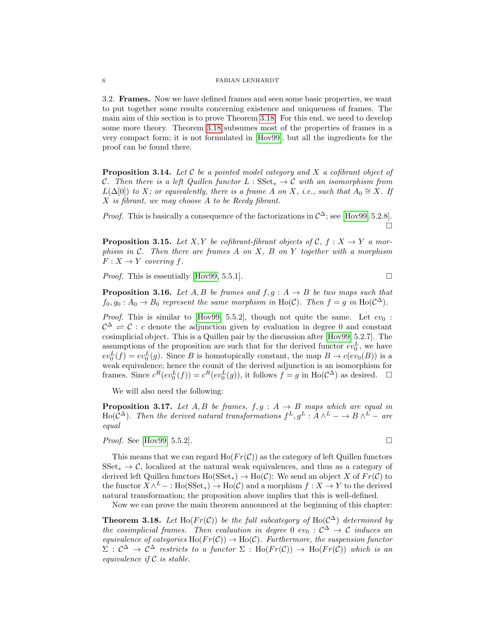3.2. Frames. Now we have defined frames and seen some basic properties, we want to put together some results concerning existence and uniqueness of frames. The main aim of this section is to prove Theorem [3.18.](#page-5-0) For this end, we need to develop some more theory. Theorem [3.18](#page-5-0) subsumes most of the properties of frames in a very compact form; it is not formulated in [\[Hov99\]](#page-17-1), but all the ingredients for the proof can be found there.

<span id="page-5-1"></span>**Proposition 3.14.** Let  $\mathcal C$  be a pointed model category and  $X$  a cofibrant object of C. Then there is a left Quillen functor  $L : SSet_* \to C$  with an isomorphism from  $L(\Delta[0])$  to X; or equivalently, there is a frame A on X, i.e., such that  $A_0 \cong X$ . If X is fibrant, we may choose A to be Reedy fibrant.

*Proof.* This is basically a consequence of the factorizations in  $C^{\Delta}$ ; see [\[Hov99,](#page-17-1) 5.2.8].  $\Box$ 

<span id="page-5-2"></span>**Proposition 3.15.** Let X, Y be cofibrant-fibrant objects of C,  $f : X \rightarrow Y$  a morphism in  $C$ . Then there are frames A on X, B on Y together with a morphism  $F: X \to Y$  covering f.

*Proof.* This is essentially [\[Hov99,](#page-17-1) 5.5.1].

<span id="page-5-3"></span>**Proposition 3.16.** Let  $A, B$  be frames and  $f, g: A \rightarrow B$  be two maps such that  $f_0, g_0: A_0 \to B_0$  represent the same morphism in Ho(C). Then  $f = g$  in Ho(C<sup> $\triangle$ </sup>).

*Proof.* This is similar to [\[Hov99,](#page-17-1) 5.5.2], though not quite the same. Let  $ev_0$ :  $\mathcal{C}^{\Delta} \rightleftharpoons \mathcal{C}$ : c denote the adjunction given by evaluation in degree 0 and constant cosimplicial object. This is a Quillen pair by the discussion after [\[Hov99,](#page-17-1) 5.2.7]. The assumptions of the proposition are such that for the derived functor  $ev_0^L$ , we have  $ev_0^L(f) = ev_0^L(g)$ . Since B is homotopically constant, the map  $B \to c(ev_0(B))$  is a weak equivalence; hence the counit of the derived adjunction is an isomorphism for frames. Since  $c^R(ev_0^L(f)) = c^R(ev_0^L(g))$ , it follows  $f = g$  in  $Ho(\mathcal{C}^{\Delta})$  as desired.  $\square$ 

We will also need the following:

**Proposition 3.17.** Let  $A, B$  be frames,  $f, g : A \rightarrow B$  maps which are equal in Ho( $\mathcal{C}^{\Delta}$ ). Then the derived natural transformations  $f^L, g^L : A \wedge^L - \to B \wedge^L -$  are equal

*Proof.* See [\[Hov99,](#page-17-1) 5.5.2].

This means that we can regard  $Ho(Fr(\mathcal{C}))$  as the category of left Quillen functors  $SSet_* \to \mathcal{C}$ , localized at the natural weak equivalences, and thus as a category of derived left Quillen functors  $\text{Ho}(\text{SSet}_*) \to \text{Ho}(\mathcal{C})$ : We send an object X of  $Fr(\mathcal{C})$  to the functor  $X \wedge^L - : \text{Ho}(\text{SSet}_*) \to \text{Ho}(\mathcal{C})$  and a morphism  $f : X \to Y$  to the derived natural transformation; the proposition above implies that this is well-defined.

Now we can prove the main theorem announced at the beginning of this chapter:

<span id="page-5-0"></span>**Theorem 3.18.** Let Ho( $Fr(\mathcal{C})$ ) be the full subcategory of Ho( $\mathcal{C}^{\Delta}$ ) determined by the cosimplicial frames. Then evaluation in degree 0 ev<sub>0</sub> :  $C^{\Delta} \rightarrow C$  induces an equivalence of categories Ho( $Fr(\mathcal{C})$ )  $\rightarrow$  Ho( $\mathcal{C}$ ). Furthermore, the suspension functor  $\Sigma: \mathcal{C}^{\Delta} \to \mathcal{C}^{\Delta}$  restricts to a functor  $\Sigma: Ho(Fr(\mathcal{C})) \to Ho(Fr(\mathcal{C}))$  which is an equivalence if  $C$  is stable.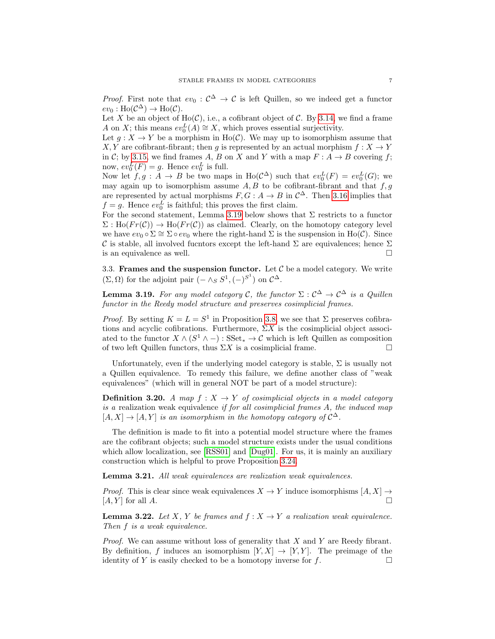*Proof.* First note that  $ev_0: \mathcal{C}^{\Delta} \to \mathcal{C}$  is left Quillen, so we indeed get a functor  $ev_0: Ho(\mathcal{C}^{\Delta}) \to Ho(\mathcal{C}).$ 

Let X be an object of  $Ho(\mathcal{C})$ , i.e., a cofibrant object of C. By [3.14,](#page-5-1) we find a frame A on X; this means  $ev_0^L(A) \cong X$ , which proves essential surjectivity.

Let  $g: X \to Y$  be a morphism in Ho(C). We may up to isomorphism assume that X, Y are cofibrant-fibrant; then g is represented by an actual morphism  $f: X \to Y$ in C; by [3.15,](#page-5-2) we find frames A, B on X and Y with a map  $F : A \rightarrow B$  covering f; now,  $ev_0^L(F) = g$ . Hence  $ev_0^L$  is full.

Now let  $f, g : A \to B$  be two maps in  $\text{Ho}(\mathcal{C}^{\Delta})$  such that  $ev_0^L(F) = ev_0^L(G)$ ; we may again up to isomorphism assume  $A, B$  to be cofibrant-fibrant and that  $f, g$ are represented by actual morphisms  $F, G: A \to B$  in  $\mathcal{C}^{\Delta}$ . Then [3.16](#page-5-3) implies that  $f = g$ . Hence  $ev_0^L$  is faithful; this proves the first claim.

For the second statement, Lemma [3.19](#page-6-0) below shows that  $\Sigma$  restricts to a functor  $\Sigma : Ho(Fr(\mathcal{C})) \to Ho(Fr(\mathcal{C}))$  as claimed. Clearly, on the homotopy category level we have  $ev_0 \circ \Sigma \cong \Sigma \circ ev_0$  where the right-hand  $\Sigma$  is the suspension in Ho(C). Since  $\mathcal C$  is stable, all involved fucntors except the left-hand  $\Sigma$  are equivalences; hence  $\Sigma$ is an equivalence as well.  $\Box$ 

3.3. Frames and the suspension functor. Let  $\mathcal C$  be a model category. We write  $(\Sigma, \Omega)$  for the adjoint pair  $(- \wedge_S S^1, (-S^1)$  on  $\mathcal{C}^{\Delta}$ .

<span id="page-6-0"></span>**Lemma 3.19.** For any model category C, the functor  $\Sigma : \mathcal{C}^{\Delta} \to \mathcal{C}^{\Delta}$  is a Quillen functor in the Reedy model structure and preserves cosimplicial frames.

*Proof.* By setting  $K = L = S^1$  in Proposition [3.8,](#page-3-0) we see that  $\Sigma$  preserves cofibrations and acyclic cofibrations. Furthermore,  $\Sigma X$  is the cosimplicial object associated to the functor  $X \wedge (S^1 \wedge -) : \text{SSet}_* \to \mathcal{C}$  which is left Quillen as composition of two left Quillen functors, thus  $\Sigma X$  is a cosimplicial frame.

Unfortunately, even if the underlying model category is stable,  $\Sigma$  is usually not a Quillen equivalence. To remedy this failure, we define another class of "weak equivalences" (which will in general NOT be part of a model structure):

**Definition 3.20.** A map  $f: X \rightarrow Y$  of cosimplicial objects in a model category is a realization weak equivalence if for all cosimplicial frames A, the induced map  $[A, X] \rightarrow [A, Y]$  is an isomorphism in the homotopy category of  $\mathcal{C}^{\Delta}$ .

The definition is made to fit into a potential model structure where the frames are the cofibrant objects; such a model structure exists under the usual conditions which allow localization, see [\[RSS01\]](#page-17-8) and [\[Dug01\]](#page-17-9). For us, it is mainly an auxiliary construction which is helpful to prove Proposition [3.24.](#page-7-0)

Lemma 3.21. All weak equivalences are realization weak equivalences.

*Proof.* This is clear since weak equivalences  $X \to Y$  induce isomorphisms  $[A, X] \to$  $[A, Y]$  for all  $A$ .

**Lemma 3.22.** Let X, Y be frames and  $f: X \to Y$  a realization weak equivalence. Then f is a weak equivalence.

*Proof.* We can assume without loss of generality that  $X$  and  $Y$  are Reedy fibrant. By definition, f induces an isomorphism  $[Y, X] \rightarrow [Y, Y]$ . The preimage of the identity of Y is easily checked to be a homotopy inverse for  $f$ .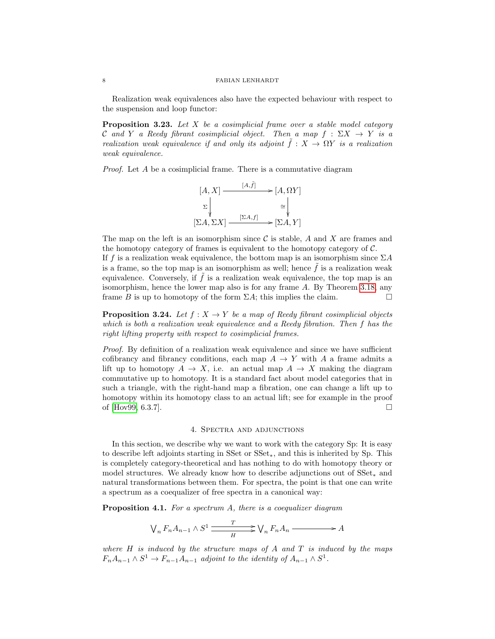Realization weak equivalences also have the expected behaviour with respect to the suspension and loop functor:

<span id="page-7-1"></span>**Proposition 3.23.** Let  $X$  be a cosimplicial frame over a stable model category C and Y a Reedy fibrant cosimplicial object. Then a map  $f : \Sigma X \to Y$  is a realization weak equivalence if and only its adjoint  $\tilde{f}: X \to \Omega Y$  is a realization weak equivalence.

Proof. Let A be a cosimplicial frame. There is a commutative diagram

$$
[A, X] \xrightarrow{[A, \tilde{f}]} [A, \Omega Y]
$$

$$
\Sigma \downarrow \cong \downarrow \cong
$$

$$
[\Sigma A, \Sigma X] \xrightarrow{[\Sigma A, f]} [\Sigma A, Y]
$$

The map on the left is an isomorphism since  $\mathcal C$  is stable,  $A$  and  $X$  are frames and the homotopy category of frames is equivalent to the homotopy category of C. If f is a realization weak equivalence, the bottom map is an isomorphism since  $\Sigma A$ is a frame, so the top map is an isomorphism as well; hence  $\tilde{f}$  is a realization weak equivalence. Conversely, if  $\tilde{f}$  is a realization weak equivalence, the top map is an isomorphism, hence the lower map also is for any frame A. By Theorem [3.18,](#page-5-0) any frame B is up to homotopy of the form  $\Sigma A$ ; this implies the claim.

<span id="page-7-0"></span>**Proposition 3.24.** Let  $f : X \to Y$  be a map of Reedy fibrant cosimplicial objects which is both a realization weak equivalence and a Reedy fibration. Then f has the right lifting property with respect to cosimplicial frames.

Proof. By definition of a realization weak equivalence and since we have sufficient cofibrancy and fibrancy conditions, each map  $A \to Y$  with A a frame admits a lift up to homotopy  $A \to X$ , i.e. an actual map  $A \to X$  making the diagram commutative up to homotopy. It is a standard fact about model categories that in such a triangle, with the right-hand map a fibration, one can change a lift up to homotopy within its homotopy class to an actual lift; see for example in the proof of [\[Hov99,](#page-17-1) 6.3.7].

## 4. Spectra and adjunctions

In this section, we describe why we want to work with the category Sp: It is easy to describe left adjoints starting in SSet or SSet∗, and this is inherited by Sp. This is completely category-theoretical and has nothing to do with homotopy theory or model structures. We already know how to describe adjunctions out of SSet<sup>∗</sup> and natural transformations between them. For spectra, the point is that one can write a spectrum as a coequalizer of free spectra in a canonical way:

**Proposition 4.1.** For a spectrum A, there is a coequalizer diagram

$$
\bigvee_n F_n A_{n-1} \wedge S^1 \xrightarrow{T} \bigvee_n F_n A_n \xrightarrow{}
$$

where  $H$  is induced by the structure maps of  $A$  and  $T$  is induced by the maps  $F_nA_{n-1}\wedge S^1\to F_{n-1}A_{n-1}$  adjoint to the identity of  $A_{n-1}\wedge S^1$ .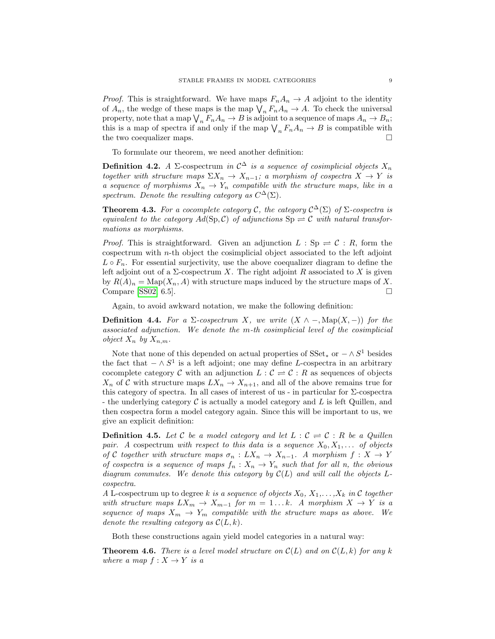*Proof.* This is straightforward. We have maps  $F_nA_n \to A$  adjoint to the identity of  $A_n$ , the wedge of these maps is the map  $\bigvee_n F_nA_n \to A$ . To check the universal property, note that a map  $\bigvee_n F_n A_n \to B$  is adjoint to a sequence of maps  $A_n \to B_n$ ; this is a map of spectra if and only if the map  $\bigvee_n F_n A_n \to B$  is compatible with the two coequalizer maps.  $\Box$ 

To formulate our theorem, we need another definition:

**Definition 4.2.** A  $\Sigma$ -cospectrum in  $\mathcal{C}^{\Delta}$  is a sequence of cosimplicial objects  $X_n$ together with structure maps  $\Sigma X_n \to X_{n-1}$ ; a morphism of cospectra  $X \to Y$  is a sequence of morphisms  $X_n \to Y_n$  compatible with the structure maps, like in a spectrum. Denote the resulting category as  $C^{\Delta}(\Sigma)$ .

**Theorem 4.3.** For a cocomplete category C, the category  $C^{\Delta}(\Sigma)$  of  $\Sigma$ -cospectra is equivalent to the category  $Ad(Sp, C)$  of adjunctions  $Sp \rightleftharpoons C$  with natural transformations as morphisms.

*Proof.* This is straightforward. Given an adjunction  $L : Sp \rightleftharpoons \mathcal{C} : R$ , form the cospectrum with  $n$ -th object the cosimplicial object associated to the left adjoint  $L \circ F_n$ . For essential surjectivity, use the above coequalizer diagram to define the left adjoint out of a  $\Sigma$ -cospectrum X. The right adjoint R associated to X is given by  $R(A)_n = \text{Map}(X_n, A)$  with structure maps induced by the structure maps of X. Compare [\[SS02,](#page-17-2) 6.5].

Again, to avoid awkward notation, we make the following definition:

**Definition 4.4.** For a  $\Sigma$ -cospectrum X, we write  $(X \wedge -, \text{Map}(X, -))$  for the associated adjunction. We denote the m-th cosimplicial level of the cosimplicial object  $X_n$  by  $X_{n,m}$ .

Note that none of this depended on actual properties of  $SSet_*$  or  $-\wedge S^1$  besides the fact that  $-\wedge S^1$  is a left adjoint; one may define L-cospectra in an arbitrary cocomplete category C with an adjunction  $L : \mathcal{C} \rightleftharpoons \mathcal{C} : R$  as sequences of objects  $X_n$  of C with structure maps  $LX_n \to X_{n+1}$ , and all of the above remains true for this category of spectra. In all cases of interest of us - in particular for Σ-cospectra - the underlying category  $\mathcal C$  is actually a model category and  $L$  is left Quillen, and then cospectra form a model category again. Since this will be important to us, we give an explicit definition:

**Definition 4.5.** Let C be a model category and let  $L : \mathcal{C} \rightleftharpoons \mathcal{C} : R$  be a Quillen pair. A cospectrum with respect to this data is a sequence  $X_0, X_1, \ldots$  of objects of C together with structure maps  $\sigma_n: LX_n \to X_{n-1}$ . A morphism  $f: X \to Y$ of cospectra is a sequence of maps  $f_n: X_n \to Y_n$  such that for all n, the obvious diagram commutes. We denote this category by  $\mathcal{C}(L)$  and will call the objects Lcospectra.

A L-cospectrum up to degree k is a sequence of objects  $X_0, X_1, \ldots, X_k$  in C together with structure maps  $LX_m \to X_{m-1}$  for  $m = 1...k$ . A morphism  $X \to Y$  is a sequence of maps  $X_m \to Y_m$  compatible with the structure maps as above. We denote the resulting category as  $\mathcal{C}(L, k)$ .

Both these constructions again yield model categories in a natural way:

**Theorem 4.6.** There is a level model structure on  $\mathcal{C}(L)$  and on  $\mathcal{C}(L, k)$  for any k where a map  $f: X \to Y$  is a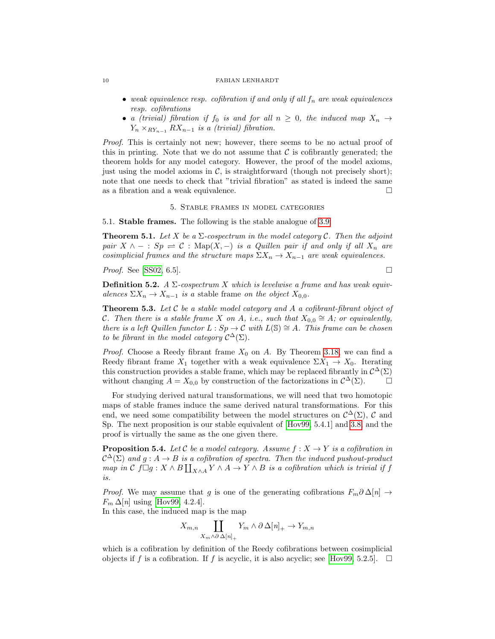- weak equivalence resp. cofibration if and only if all  $f_n$  are weak equivalences resp. cofibrations
- a (trivial) fibration if  $f_0$  is and for all  $n \geq 0$ , the induced map  $X_n \to$  $Y_n \times_{RY_{n-1}} RX_{n-1}$  is a (trivial) fibration.

Proof. This is certainly not new; however, there seems to be no actual proof of this in printing. Note that we do not assume that  $\mathcal C$  is cofibrantly generated; the theorem holds for any model category. However, the proof of the model axioms, just using the model axioms in  $\mathcal{C}$ , is straightforward (though not precisely short); note that one needs to check that "trivial fibration" as stated is indeed the same as a fibration and a weak equivalence.  $\Box$ 

## 5. Stable frames in model categories

5.1. Stable frames. The following is the stable analogue of [3.9:](#page-4-0)

**Theorem 5.1.** Let X be a  $\Sigma$ -cospectrum in the model category C. Then the adjoint pair  $X \wedge - : Sp \rightleftharpoons \mathcal{C} : \text{Map}(X, -)$  is a Quillen pair if and only if all  $X_n$  are cosimplicial frames and the structure maps  $\Sigma X_n \to X_{n-1}$  are weak equivalences.

*Proof.* See [\[SS02,](#page-17-2) 6.5].

**Definition 5.2.** A  $\Sigma$ -cospectrum X which is levelwise a frame and has weak equivalences  $\Sigma X_n \to X_{n-1}$  is a stable frame on the object  $X_{0,0}$ .

**Theorem 5.3.** Let  $C$  be a stable model category and  $A$  a cofibrant-fibrant object of C. Then there is a stable frame X on A, i.e., such that  $X_{0,0} \cong A$ ; or equivalently, there is a left Quillen functor  $L : Sp \to \mathcal{C}$  with  $L(\mathbb{S}) \cong A$ . This frame can be chosen to be fibrant in the model category  $\mathcal{C}^{\Delta}(\Sigma)$ .

*Proof.* Choose a Reedy fibrant frame  $X_0$  on A. By Theorem [3.18,](#page-5-0) we can find a Reedy fibrant frame  $X_1$  together with a weak equivalence  $\Sigma X_1 \to X_0$ . Iterating this construction provides a stable frame, which may be replaced fibrantly in  $\mathcal{C}^{\Delta}(\Sigma)$ without changing  $A = X_{0,0}$  by construction of the factorizations in  $\mathcal{C}^{\Delta}(\Sigma)$ .

For studying derived natural transformations, we will need that two homotopic maps of stable frames induce the same derived natural transformations. For this end, we need some compatibility between the model structures on  $\mathcal{C}^{\Delta}(\Sigma)$ ,  $\mathcal{C}$  and Sp. The next proposition is our stable equivalent of [\[Hov99,](#page-17-1) 5.4.1] and [3.8,](#page-3-0) and the proof is virtually the same as the one given there.

<span id="page-9-0"></span>**Proposition 5.4.** Let C be a model category. Assume  $f: X \to Y$  is a cofibration in  $\mathcal{C}^{\Delta}(\Sigma)$  and  $g: A \to B$  is a cofibration of spectra. Then the induced pushout-product  $map \text{ in } \mathcal{C}$   $f \Box g : X \wedge B \coprod_{X \wedge A} Y \wedge A \to Y \wedge B$  is a cofibration which is trivial if f is.

*Proof.* We may assume that g is one of the generating cofibrations  $F_m \partial \Delta[n] \rightarrow$  $F_m \Delta[n]$  using [\[Hov99,](#page-17-1) 4.2.4].

In this case, the induced map is the map

 $X_{m,n}$  []  $X_m \wedge \partial \Delta[n]_+$  $Y_m \wedge \partial \Delta[n]_+ \to Y_{m,n}$ 

which is a cofibration by definition of the Reedy cofibrations between cosimplicial objects if f is a cofibration. If f is acyclic, it is also acyclic; see [\[Hov99,](#page-17-1) 5.2.5].  $\Box$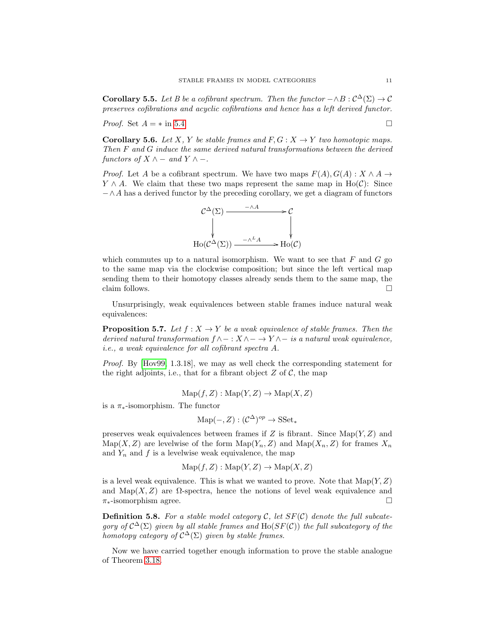<span id="page-10-0"></span>**Corollary 5.5.** Let B be a cofibrant spectrum. Then the functor  $-\wedge B : C^{\Delta}(\Sigma) \to C$ preserves cofibrations and acyclic cofibrations and hence has a left derived functor.

*Proof.* Set  $A = *$  in [5.4.](#page-9-0)

**Corollary 5.6.** Let X, Y be stable frames and  $F, G: X \to Y$  two homotopic maps. Then F and G induce the same derived natural transformations between the derived functors of  $X \wedge -$  and  $Y \wedge -$ .

*Proof.* Let A be a cofibrant spectrum. We have two maps  $F(A), G(A) : X \wedge A \rightarrow$  $Y \wedge A$ . We claim that these two maps represent the same map in Ho(C): Since  $-\wedge A$  has a derived functor by the preceding corollary, we get a diagram of functors



which commutes up to a natural isomorphism. We want to see that  $F$  and  $G$  go to the same map via the clockwise composition; but since the left vertical map sending them to their homotopy classes already sends them to the same map, the claim follows.  $\Box$ 

Unsurprisingly, weak equivalences between stable frames induce natural weak equivalences:

**Proposition 5.7.** Let  $f : X \to Y$  be a weak equivalence of stable frames. Then the derived natural transformation  $f \wedge - : X \wedge - \to Y \wedge -$  is a natural weak equivalence, i.e., a weak equivalence for all cofibrant spectra A.

Proof. By [\[Hov99,](#page-17-1) 1.3.18], we may as well check the corresponding statement for the right adjoints, i.e., that for a fibrant object  $Z$  of  $C$ , the map

 $\text{Map}(f, Z) : \text{Map}(Y, Z) \to \text{Map}(X, Z)$ 

is a  $\pi_*$ -isomorphism. The functor

$$
\mathrm{Map}(-,Z): (\mathcal{C}^{\Delta})^{op} \to \mathrm{SSet}_*
$$

preserves weak equivalences between frames if  $Z$  is fibrant. Since  $\text{Map}(Y, Z)$  and  $\text{Map}(X, Z)$  are levelwise of the form  $\text{Map}(Y_n, Z)$  and  $\text{Map}(X_n, Z)$  for frames  $X_n$ and  $Y_n$  and f is a levelwise weak equivalence, the map

$$
Map(f, Z) : Map(Y, Z) \to Map(X, Z)
$$

is a level weak equivalence. This is what we wanted to prove. Note that  $\text{Map}(Y, Z)$ and  $\text{Map}(X, Z)$  are  $\Omega$ -spectra, hence the notions of level weak equivalence and  $\pi_*$ -isomorphism agree.

**Definition 5.8.** For a stable model category C, let  $SF(\mathcal{C})$  denote the full subcategory of  $C^{\Delta}(\Sigma)$  given by all stable frames and  $\text{Ho}(SF(\mathcal{C}))$  the full subcategory of the homotopy category of  $C^{\Delta}(\Sigma)$  given by stable frames.

Now we have carried together enough information to prove the stable analogue of Theorem [3.18.](#page-5-0)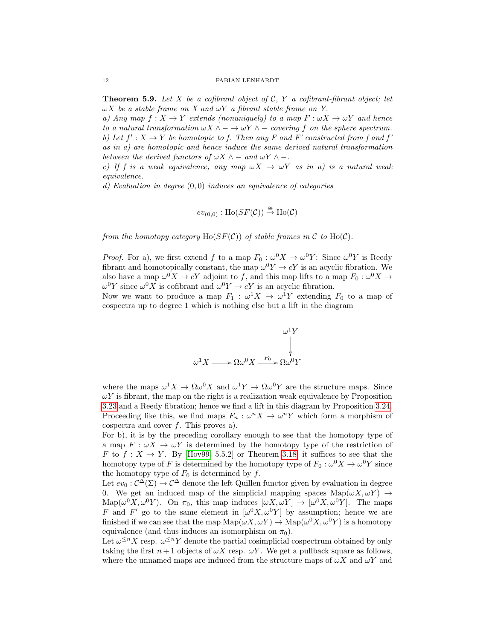<span id="page-11-0"></span>**Theorem 5.9.** Let X be a cofibrant object of C, Y a cofibrant-fibrant object; let  $\omega X$  be a stable frame on X and  $\omega Y$  a fibrant stable frame on Y.

a) Any map  $f: X \to Y$  extends (nonuniquely) to a map  $F: \omega X \to \omega Y$  and hence to a natural transformation  $\omega X \wedge - \to \omega Y \wedge -$  covering f on the sphere spectrum. b) Let  $f' : X \to Y$  be homotopic to f. Then any F and F' constructed from f and f as in a) are homotopic and hence induce the same derived natural transformation between the derived functors of  $\omega X \wedge -$  and  $\omega Y \wedge -$ .

c) If f is a weak equivalence, any map  $\omega X \to \omega Y$  as in a) is a natural weak equivalence.

d) Evaluation in degree  $(0,0)$  induces an equivalence of categories

$$
ev_{(0,0)} : \text{Ho}(SF(\mathcal{C})) \overset{\cong}{\rightarrow} \text{Ho}(\mathcal{C})
$$

from the homotopy category  $\text{Ho}(SF(\mathcal{C}))$  of stable frames in  $\mathcal C$  to  $\text{Ho}(\mathcal{C})$ .

*Proof.* For a), we first extend f to a map  $F_0$ :  $\omega^0 X \to \omega^0 Y$ : Since  $\omega^0 Y$  is Reedy fibrant and homotopically constant, the map  $\omega^0 Y \to cY$  is an acyclic fibration. We also have a map  $\omega^0 X \to cY$  adjoint to f, and this map lifts to a map  $F_0: \omega^0 X \to$  $\omega^0 Y$  since  $\omega^0 X$  is cofibrant and  $\omega^0 Y \to cY$  is an acyclic fibration.

Now we want to produce a map  $F_1$ :  $\omega^1 X \to \omega^1 Y$  extending  $F_0$  to a map of cospectra up to degree 1 which is nothing else but a lift in the diagram



where the maps  $\omega^1 X \to \Omega \omega^0 X$  and  $\omega^1 Y \to \Omega \omega^0 Y$  are the structure maps. Since  $\omega Y$  is fibrant, the map on the right is a realization weak equivalence by Proposition [3.23](#page-7-1) and a Reedy fibration; hence we find a lift in this diagram by Proposition [3.24.](#page-7-0) Proceeding like this, we find maps  $F_n: \omega^n X \to \omega^n Y$  which form a morphism of cospectra and cover  $f$ . This proves a).

For b), it is by the preceding corollary enough to see that the homotopy type of a map  $F: \omega X \to \omega Y$  is determined by the homotopy type of the restriction of F to  $f: X \to Y$ . By [\[Hov99,](#page-17-1) 5.5.2] or Theorem [3.18,](#page-5-0) it suffices to see that the homotopy type of F is determined by the homotopy type of  $F_0: \omega^0 X \to \omega^0 Y$  since the homotopy type of  $F_0$  is determined by  $f$ .

Let  $ev_0: C^{\Delta}(\Sigma) \to C^{\Delta}$  denote the left Quillen functor given by evaluation in degree 0. We get an induced map of the simplicial mapping spaces  $\text{Map}(\omega X, \omega Y) \rightarrow$  $\text{Map}(\omega^0 X, \omega^0 Y)$ . On  $\pi_0$ , this map induces  $[\omega X, \omega Y] \to [\omega^0 X, \omega^0 Y]$ . The maps F and F' go to the same element in  $\left[\omega^0 X, \omega^0 Y\right]$  by assumption; hence we are finished if we can see that the map  $\text{Map}(\omega X, \omega Y) \to \text{Map}(\omega^0 X, \omega^0 Y)$  is a homotopy equivalence (and thus induces an isomorphism on  $\pi_0$ ).

Let  $\omega^{\leq n} X$  resp.  $\omega^{\leq n} Y$  denote the partial cosimplicial cospectrum obtained by only taking the first  $n+1$  objects of  $\omega X$  resp.  $\omega Y$ . We get a pullback square as follows, where the unnamed maps are induced from the structure maps of  $\omega X$  and  $\omega Y$  and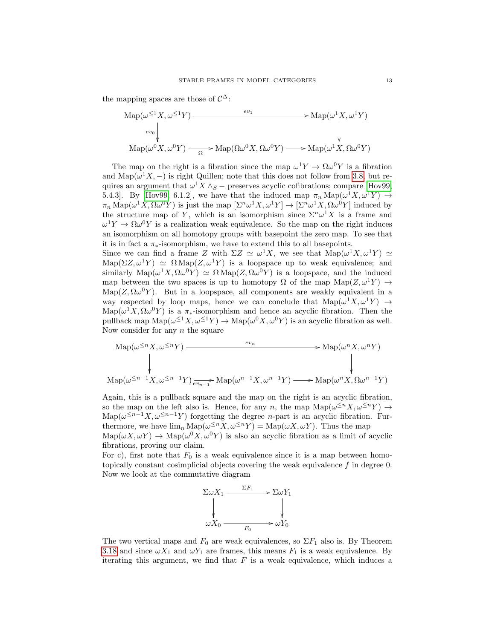the mapping spaces are those of  $\mathcal{C}^{\Delta}$ :

$$
\mathrm{Map}(\omega^{\leq 1}X, \omega^{\leq 1}Y) \xrightarrow{ev_1} \mathrm{Map}(\omega^1 X, \omega^1 Y)
$$
\n
$$
\downarrow \qquad \qquad \downarrow
$$
\n
$$
\mathrm{Map}(\omega^0 X, \omega^0 Y) \xrightarrow{\Omega} \mathrm{Map}(\Omega \omega^0 X, \Omega \omega^0 Y) \xrightarrow{\Omega} \mathrm{Map}(\omega^1 X, \Omega \omega^0 Y)
$$

The map on the right is a fibration since the map  $\omega^1 Y \to \Omega \omega^0 Y$  is a fibration and Map( $\omega^1 X$ , –) is right Quillen; note that this does not follow from [3.8,](#page-3-0) but requires an argument that  $\omega$ <sup>1</sup>X ∧<sub>S</sub> – preserves acyclic cofibrations; compare [\[Hov99,](#page-17-1) 5.4.3]. By [\[Hov99,](#page-17-1) 6.1.2], we have that the induced map  $\pi_n \text{Map}(\omega^1 X, \omega^1 Y) \rightarrow$  $\pi_n \text{Map}(\omega^1 X, \Omega \omega^0 Y)$  is just the map  $[\Sigma^n \omega^1 X, \omega^1 Y] \to [\Sigma^n \omega^1 X, \Omega \omega^0 Y]$  induced by the structure map of Y, which is an isomorphism since  $\Sigma^n \omega^1 X$  is a frame and  $\omega^1 Y \to \Omega \omega^0 Y$  is a realization weak equivalence. So the map on the right induces an isomorphism on all homotopy groups with basepoint the zero map. To see that it is in fact a  $\pi_*$ -isomorphism, we have to extend this to all basepoints.

Since we can find a frame Z with  $\Sigma Z \simeq \omega^1 X$ , we see that  $\text{Map}(\omega^1 X, \omega^1 Y) \simeq$  $\text{Map}(\Sigma Z, \omega^1 Y) \simeq \Omega \text{Map}(Z, \omega^1 Y)$  is a loopspace up to weak equivalence; and similarly  $\text{Map}(\omega^1 X, \Omega \omega^0 Y) \simeq \Omega \text{Map}(Z, \Omega \omega^0 Y)$  is a loopspace, and the induced map between the two spaces is up to homotopy  $\Omega$  of the map  $\text{Map}(Z, \omega^1 Y) \rightarrow$  $\text{Map}(Z, \Omega \omega^0 Y)$ . But in a loopspace, all components are weakly equivalent in a way respected by loop maps, hence we can conclude that  $\text{Map}(\omega^1 X, \omega^1 Y) \rightarrow$  $\text{Map}(\omega^1 X, \Omega \omega^0 Y)$  is a  $\pi_*$ -isomorphism and hence an acyclic fibration. Then the pullback map  $\text{Map}(\omega^{\leq 1}X, \omega^{\leq 1}Y) \to \text{Map}(\omega^0X, \omega^0Y)$  is an acyclic fibration as well. Now consider for any  $n$  the square

$$
\mathrm{Map}(\omega^{\leq n}X, \omega^{\leq n}Y) \xrightarrow{ev_n} \mathrm{Map}(\omega^nX, \omega^nY)
$$
\n
$$
\downarrow \qquad \qquad \downarrow \qquad \qquad \downarrow
$$
\n
$$
\mathrm{Map}(\omega^{\leq n-1}X, \omega^{\leq n-1}Y) \xrightarrow{ev_n} \mathrm{Map}(\omega^{n-1}X, \omega^{n-1}Y) \xrightarrow{ev_n} \mathrm{Map}(\omega^nX, \Omega \omega^{n-1}Y)
$$

Again, this is a pullback square and the map on the right is an acyclic fibration, so the map on the left also is. Hence, for any n, the map  $\text{Map}(\omega^{\leq n}X, \omega^{\leq n}Y) \to$ Map( $\omega^{\leq n-1}X, \omega^{\leq n-1}Y$ ) forgetting the degree *n*-part is an acyclic fibration. Furthermore, we have  $\lim_{n} \text{Map}(\omega^{\leq n} X, \omega^{\leq n} Y) = \text{Map}(\omega X, \omega Y)$ . Thus the map  $\text{Map}(\omega X, \omega Y) \to \text{Map}(\omega^0 X, \omega^0 Y)$  is also an acyclic fibration as a limit of acyclic fibrations, proving our claim.

For c), first note that  $F_0$  is a weak equivalence since it is a map between homotopically constant cosimplicial objects covering the weak equivalence  $f$  in degree 0. Now we look at the commutative diagram



The two vertical maps and  $F_0$  are weak equivalences, so  $\Sigma F_1$  also is. By Theorem [3.18](#page-5-0) and since  $\omega X_1$  and  $\omega Y_1$  are frames, this means  $F_1$  is a weak equivalence. By iterating this argument, we find that  $F$  is a weak equivalence, which induces a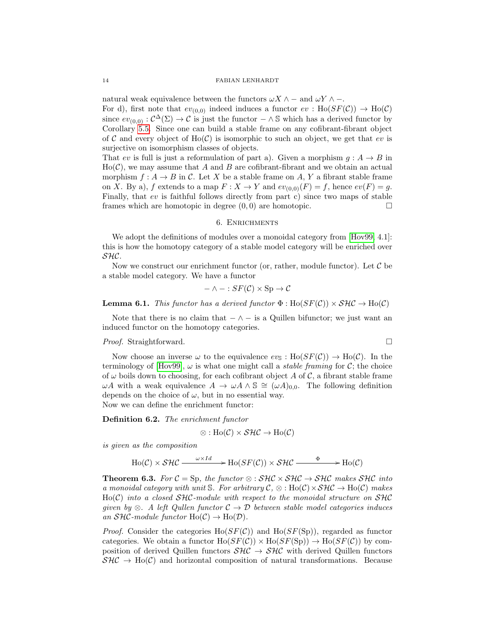natural weak equivalence between the functors  $\omega X \wedge -$  and  $\omega Y \wedge -$ . For d), first note that  $ev_{(0,0)}$  indeed induces a functor  $ev : Ho(SF(\mathcal{C})) \to Ho(\mathcal{C})$ since  $ev_{(0,0)}: \mathcal{C}^{\Delta}(\Sigma) \to \mathcal{C}$  is just the functor  $-\wedge \mathbb{S}$  which has a derived functor by Corollary [5.5.](#page-10-0) Since one can build a stable frame on any cofibrant-fibrant object of C and every object of Ho(C) is isomorphic to such an object, we get that ev is surjective on isomorphism classes of objects.

That ev is full is just a reformulation of part a). Given a morphism  $g : A \rightarrow B$  in  $Ho(\mathcal{C})$ , we may assume that A and B are cofibrant-fibrant and we obtain an actual morphism  $f : A \to B$  in C. Let X be a stable frame on A, Y a fibrant stable frame on X. By a), f extends to a map  $F: X \to Y$  and  $ev_{(0,0)}(F) = f$ , hence  $ev(F) = g$ . Finally, that ev is faithful follows directly from part c) since two maps of stable frames which are homotopic in degree  $(0,0)$  are homotopic.

## 6. Enrichments

We adopt the definitions of modules over a monoidal category from [\[Hov99,](#page-17-1) 4.1]: this is how the homotopy category of a stable model category will be enriched over SHC.

Now we construct our enrichment functor (or, rather, module functor). Let  $\mathcal C$  be a stable model category. We have a functor

$$
- \wedge - : SF(\mathcal{C}) \times Sp \rightarrow \mathcal{C}
$$

**Lemma 6.1.** This functor has a derived functor  $\Phi : Ho(SF(\mathcal{C})) \times SH\mathcal{C} \rightarrow Ho(\mathcal{C})$ 

Note that there is no claim that  $-\wedge -$  is a Quillen bifunctor; we just want an induced functor on the homotopy categories.

# *Proof.* Straightforward. □

Now choose an inverse  $\omega$  to the equivalence  $ev_{\mathcal{S}} : Ho(SF(\mathcal{C})) \to Ho(\mathcal{C})$ . In the terminology of [\[Hov99\]](#page-17-1),  $\omega$  is what one might call a *stable framing* for C; the choice of  $\omega$  boils down to choosing, for each cofibrant object A of C, a fibrant stable frame  $ωA$  with a weak equivalence  $A → ωA ∧ ℑ ≅ (ωA)<sub>0.0</sub>$ . The following definition depends on the choice of  $\omega$ , but in no essential way. Now we can define the enrichment functor:

Definition 6.2. The enrichment functor

$$
\otimes : \mathrm{Ho}(\mathcal{C}) \times \mathcal{SHC} \to \mathrm{Ho}(\mathcal{C})
$$

is given as the composition

$$
Ho(\mathcal{C}) \times \mathcal{SHC} \xrightarrow{\omega \times Id} \text{Ho}(SF(\mathcal{C})) \times \mathcal{SHC} \xrightarrow{\Phi} Ho(\mathcal{C})
$$

**Theorem 6.3.** For  $C = Sp$ , the functor ⊗ :  $SHC \times SHC \rightarrow SHC$  makes SHC into a monoidal category with unit S. For arbitrary  $\mathcal{C}, \otimes : Ho(\mathcal{C}) \times \mathcal{SHC} \to Ho(\mathcal{C})$  makes  $Ho(\mathcal{C})$  into a closed  $SH\mathcal{C}\text{-module with respect to the monoidal structure on } SH\mathcal{C}$ given by  $\otimes$ . A left Qullen functor  $\mathcal{C} \to \mathcal{D}$  between stable model categories induces an  $\mathcal{SHC}\text{-module functor } \mathrm{Ho}(\mathcal{C}) \to \mathrm{Ho}(\mathcal{D})$ .

*Proof.* Consider the categories  $Ho(SF(\mathcal{C}))$  and  $Ho(SF(\text{Sp}))$ , regarded as functor categories. We obtain a functor  $\text{Ho}(SF(\mathcal{C})) \times \text{Ho}(SF(\text{Sp})) \to \text{Ho}(SF(\mathcal{C}))$  by composition of derived Quillen functors  $\mathcal{SHC} \to \mathcal{SHC}$  with derived Quillen functors  $\mathcal{SHC} \to Ho(\mathcal{C})$  and horizontal composition of natural transformations. Because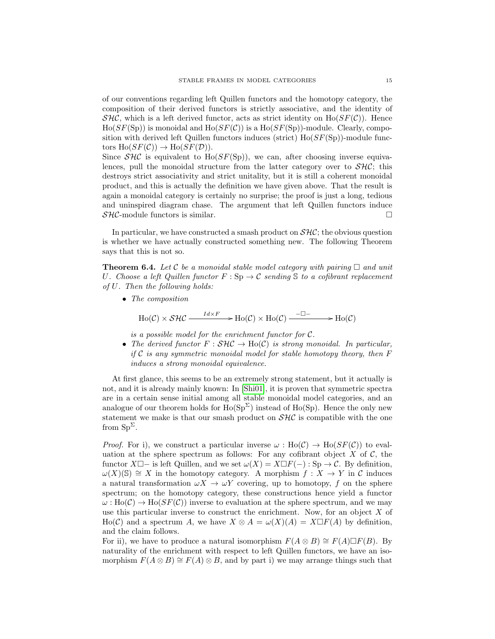of our conventions regarding left Quillen functors and the homotopy category, the composition of their derived functors is strictly associative, and the identity of  $\mathcal{SHC}$ , which is a left derived functor, acts as strict identity on Ho( $SF(\mathcal{C})$ ). Hence  $Ho(SF(Sp))$  is monoidal and  $Ho(SF(\mathcal{C}))$  is a  $Ho(SF(Sp))$ -module. Clearly, composition with derived left Quillen functors induces (strict)  $Ho(SF(Sp))$ -module functors  $\text{Ho}(SF(\mathcal{C})) \rightarrow \text{Ho}(SF(\mathcal{D})).$ 

Since  $\mathcal{SHC}$  is equivalent to Ho( $\mathcal{SF}(Sp)$ ), we can, after choosing inverse equivalences, pull the monoidal structure from the latter category over to  $\mathcal{SHC}$ ; this destroys strict associativity and strict unitality, but it is still a coherent monoidal product, and this is actually the definition we have given above. That the result is again a monoidal category is certainly no surprise; the proof is just a long, tedious and uninspired diagram chase. The argument that left Quillen functors induce  $\mathcal{SHC}$ -module functors is similar.

In particular, we have constructed a smash product on  $\mathcal{SHC}$ ; the obvious question is whether we have actually constructed something new. The following Theorem says that this is not so.

<span id="page-14-0"></span>**Theorem 6.4.** Let C be a monoidal stable model category with pairing  $\Box$  and unit U. Choose a left Quillen functor  $F : Sp \to \mathcal{C}$  sending S to a cofibrant replacement of U. Then the following holds:

• The composition

$$
Ho(\mathcal{C}) \times \mathcal{SHC} \xrightarrow{Id \times F} Ho(\mathcal{C}) \times Ho(\mathcal{C}) \xrightarrow{-\square-} Ho(\mathcal{C})
$$

is a possible model for the enrichment functor for  $C$ .

• The derived functor  $F : SHC \to Ho(C)$  is strong monoidal. In particular, if C is any symmetric monoidal model for stable homotopy theory, then  $F$ induces a strong monoidal equivalence.

At first glance, this seems to be an extremely strong statement, but it actually is not, and it is already mainly known: In [\[Shi01\]](#page-17-10), it is proven that symmetric spectra are in a certain sense initial among all stable monoidal model categories, and an analogue of our theorem holds for  $\text{Ho}(\text{Sp}^{\Sigma})$  instead of  $\text{Ho}(\text{Sp})$ . Hence the only new statement we make is that our smash product on  $\mathcal{SHC}$  is compatible with the one from  $Sp^{\Sigma}$ .

*Proof.* For i), we construct a particular inverse  $\omega : Ho(\mathcal{C}) \to Ho(SF(\mathcal{C}))$  to evaluation at the sphere spectrum as follows: For any cofibrant object  $X$  of  $C$ , the functor  $X\square$  is left Quillen, and we set  $\omega(X) = X\square F(-) : \text{Sp} \to \mathcal{C}$ . By definition,  $\omega(X)(\mathcal{S}) \cong X$  in the homotopy category. A morphism  $f : X \to Y$  in C induces a natural transformation  $\omega X \to \omega Y$  covering, up to homotopy, f on the sphere spectrum; on the homotopy category, these constructions hence yield a functor  $\omega: Ho(\mathcal{C}) \to Ho(SF(\mathcal{C}))$  inverse to evaluation at the sphere spectrum, and we may use this particular inverse to construct the enrichment. Now, for an object  $X$  of  $\text{Ho}(\mathcal{C})$  and a spectrum A, we have  $X \otimes A = \omega(X)(A) = X \square F(A)$  by definition, and the claim follows.

For ii), we have to produce a natural isomorphism  $F(A \otimes B) \cong F(A) \square F(B)$ . By naturality of the enrichment with respect to left Quillen functors, we have an isomorphism  $F(A \otimes B) \cong F(A) \otimes B$ , and by part i) we may arrange things such that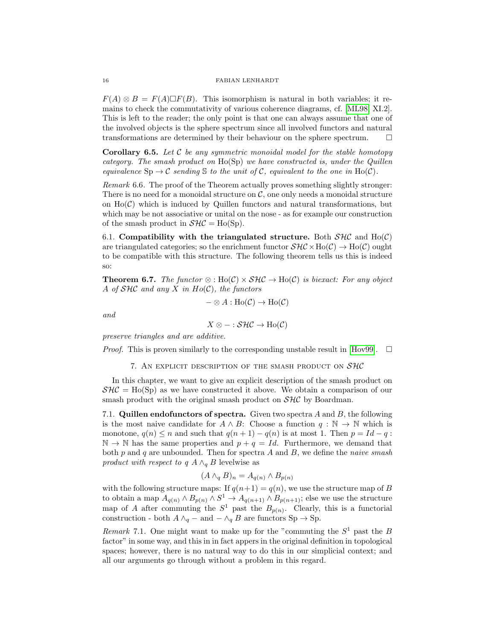$F(A) \otimes B = F(A) \square F(B)$ . This isomorphism is natural in both variables; it remains to check the commutativity of various coherence diagrams, cf. [\[ML98,](#page-17-11) XI.2]. This is left to the reader; the only point is that one can always assume that one of the involved objects is the sphere spectrum since all involved functors and natural transformations are determined by their behaviour on the sphere spectrum.

**Corollary 6.5.** Let C be any symmetric monoidal model for the stable homotopy category. The smash product on Ho(Sp) we have constructed is, under the Quillen equivalence  $\text{Sp} \to \mathcal{C}$  sending  $\mathcal S$  to the unit of  $\mathcal C$ , equivalent to the one in Ho( $\mathcal C$ ).

Remark 6.6. The proof of the Theorem actually proves something slightly stronger: There is no need for a monoidal structure on  $C$ , one only needs a monoidal structure on  $Ho(\mathcal{C})$  which is induced by Quillen functors and natural transformations, but which may be not associative or unital on the nose - as for example our construction of the smash product in  $\mathcal{SHC} = Ho(Sp)$ .

6.1. Compatibility with the triangulated structure. Both  $\mathcal{SHC}$  and  $\text{Ho}(\mathcal{C})$ are triangulated categories; so the enrichment functor  $\mathcal{SHC} \times Ho(\mathcal{C}) \to Ho(\mathcal{C})$  ought to be compatible with this structure. The following theorem tells us this is indeed so:

**Theorem 6.7.** The functor  $\otimes$ : Ho(C)  $\times$  SHC  $\rightarrow$  Ho(C) is biexact: For any object A of  $SHC$  and any X in  $Ho(C)$ , the functors

$$
-\otimes A : \text{Ho}(\mathcal{C}) \to \text{Ho}(\mathcal{C})
$$

and

$$
X \otimes - : \mathcal{SHC} \to \text{Ho}(\mathcal{C})
$$

preserve triangles and are additive.

*Proof.* This is proven similarly to the corresponding unstable result in [\[Hov99\]](#page-17-1).  $\Box$ 

7. AN EXPLICIT DESCRIPTION OF THE SMASH PRODUCT ON  $SAC$ 

In this chapter, we want to give an explicit description of the smash product on  $\mathcal{S}H\mathcal{C} = Ho(Sp)$  as we have constructed it above. We obtain a comparison of our smash product with the original smash product on  $\mathcal{SHC}$  by Boardman.

7.1. Quillen endofunctors of spectra. Given two spectra  $A$  and  $B$ , the following is the most naive candidate for  $A \wedge B$ : Choose a function  $q : \mathbb{N} \to \mathbb{N}$  which is monotone,  $q(n) \leq n$  and such that  $q(n + 1) - q(n)$  is at most 1. Then  $p = Id - q$ :  $\mathbb{N} \to \mathbb{N}$  has the same properties and  $p + q = Id$ . Furthermore, we demand that both  $p$  and  $q$  are unbounded. Then for spectra  $A$  and  $B$ , we define the *naive smash* product with respect to q  $A \wedge_q B$  levelwise as

$$
(A \wedge_q B)_n = A_{q(n)} \wedge B_{p(n)}
$$

with the following structure maps: If  $q(n+1) = q(n)$ , we use the structure map of B to obtain a map  $A_{q(n)} \wedge B_{p(n)} \wedge S^1 \to A_{q(n+1)} \wedge B_{p(n+1)}$ ; else we use the structure map of A after commuting the  $S^1$  past the  $B_{p(n)}$ . Clearly, this is a functorial construction - both  $A \wedge_q -$  and  $-\wedge_q B$  are functors Sp  $\rightarrow$  Sp.

Remark 7.1. One might want to make up for the "commuting the  $S^1$  past the B factor" in some way, and this in in fact appers in the original definition in topological spaces; however, there is no natural way to do this in our simplicial context; and all our arguments go through without a problem in this regard.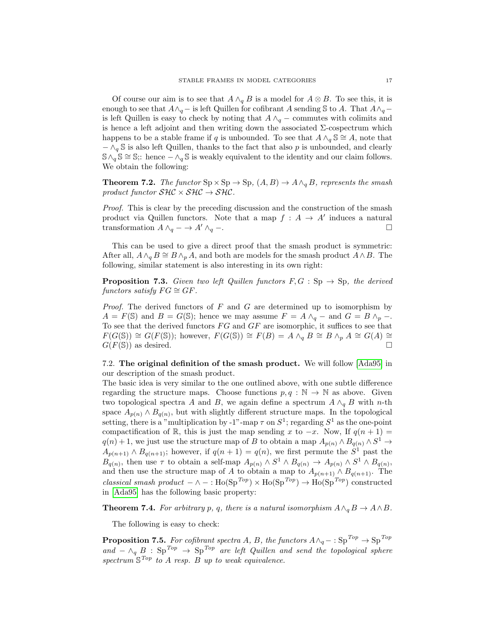Of course our aim is to see that  $A \wedge_{q} B$  is a model for  $A \otimes B$ . To see this, it is enough to see that  $A \wedge_q$  – is left Quillen for cofibrant A sending S to A. That  $A \wedge_q$  – is left Quillen is easy to check by noting that  $A \wedge_q -$  commutes with colimits and is hence a left adjoint and then writing down the associated  $\Sigma$ -cospectrum which happens to be a stable frame if q is unbounded. To see that  $A \wedge_{q} S \cong A$ , note that  $-\wedge_q$  S is also left Quillen, thanks to the fact that also p is unbounded, and clearly  $S \wedge_q S \cong S$ ;: hence  $-\wedge_q S$  is weakly equivalent to the identity and our claim follows. We obtain the following:

**Theorem 7.2.** The functor  $Sp \times Sp \to Sp$ ,  $(A, B) \to A \wedge_{g} B$ , represents the smash product functor  $\mathcal{SHC} \times \mathcal{SHC} \rightarrow \mathcal{SHC}$ .

Proof. This is clear by the preceding discussion and the construction of the smash product via Quillen functors. Note that a map  $f : A \to A'$  induces a natural transformation  $A \wedge_q - \to A' \wedge_q -$ .

This can be used to give a direct proof that the smash product is symmetric: After all,  $A \wedge_q B \cong B \wedge_p A$ , and both are models for the smash product  $A \wedge B$ . The following, similar statement is also interesting in its own right:

**Proposition 7.3.** Given two left Quillen functors  $F, G : Sp \to Sp$ , the derived functors satisfy  $FG \cong GF$ .

*Proof.* The derived functors of  $F$  and  $G$  are determined up to isomorphism by  $A = F(\mathbb{S})$  and  $B = G(\mathbb{S})$ ; hence we may assume  $F = A \wedge_{q} -$  and  $G = B \wedge_{p} -$ . To see that the derived functors  $FG$  and  $GF$  are isomorphic, it suffices to see that  $F(G(\mathbb{S})) \cong G(F(\mathbb{S}))$ ; however,  $F(G(\mathbb{S})) \cong F(B) = A \wedge_q B \cong B \wedge_p A \cong G(A) \cong$  $G(F(\mathbb{S}))$  as desired.

7.2. The original definition of the smash product. We will follow [\[Ada95\]](#page-17-12) in our description of the smash product.

The basic idea is very similar to the one outlined above, with one subtle difference regarding the structure maps. Choose functions  $p, q : \mathbb{N} \to \mathbb{N}$  as above. Given two topological spectra A and B, we again define a spectrum  $A \wedge_q B$  with n-th space  $A_{p(n)} \wedge B_{q(n)}$ , but with slightly different structure maps. In the topological setting, there is a "multiplication by -1"-map  $\tau$  on  $S^1$ ; regarding  $S^1$  as the one-point compactification of R, this is just the map sending x to  $-x$ . Now, If  $q(n+1) =$  $q(n) + 1$ , we just use the structure map of B to obtain a map  $A_{p(n)} \wedge B_{q(n)} \wedge S^1 \rightarrow$  $A_{p(n+1)} \wedge B_{q(n+1)}$ ; however, if  $q(n+1) = q(n)$ , we first permute the  $S^1$  past the  $B_{q(n)}$ , then use  $\tau$  to obtain a self-map  $A_{p(n)} \wedge S^1 \wedge B_{q(n)} \rightarrow A_{p(n)} \wedge S^1 \wedge B_{q(n)}$ , and then use the structure map of A to obtain a map to  $A_{p(n+1)} \wedge B_{q(n+1)}$ . The classical smash product  $-\wedge -$ : Ho(Sp<sup>Top</sup>) × Ho(Sp<sup>Top</sup>) → Ho(Sp<sup>Top</sup>) constructed in [\[Ada95\]](#page-17-12) has the following basic property:

**Theorem 7.4.** For arbitrary p, q, there is a natural isomorphism  $A \wedge_{q} B \rightarrow A \wedge B$ .

The following is easy to check:

**Proposition 7.5.** For cofibrant spectra A, B, the functors  $A \wedge_q - : Sp^{Top} \to Sp^{Top}$ and  $-\wedge_q B$  : Sp<sup>Top</sup>  $\rightarrow$  Sp<sup>Top</sup> are left Quillen and send the topological sphere spectrum  $\mathbb{S}^{Top}$  to A resp. B up to weak equivalence.